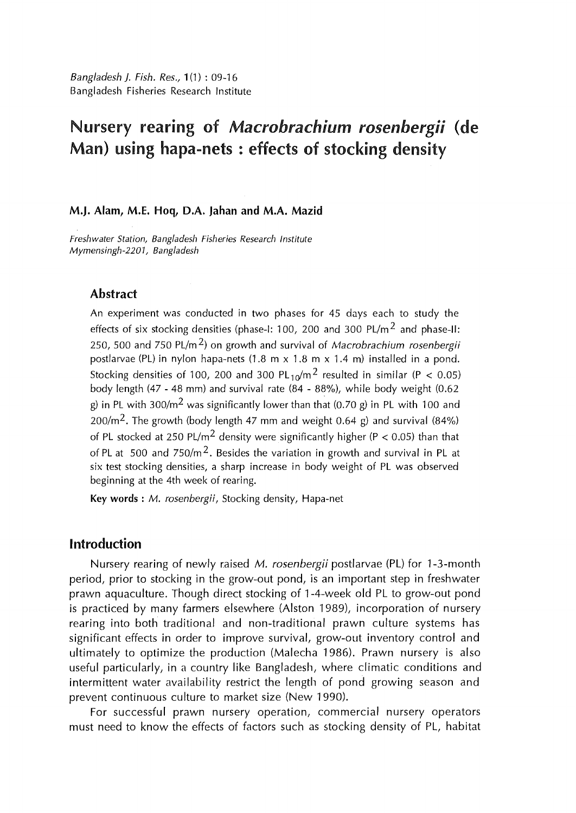*Bangladesh}. Fish. Res.,* 1 (1) : 09-16 Bangladesh Fisheries Research Institute

# Nursery rearing of *Macrobrachium rosenbergii* (de Man) using hapa-nets : effects of stocking density

#### M.J. Alam, M.E. Hoq, D.A. jahan and M.A. Mazid

*Freshwater Station, Bangladesh Fisheries Research Institute Mymensingh-2201, Bangladesh* 

### Abstract

An experiment was conducted in two phases for 45 days each to study the effects of six stocking densities (phase-1: 100, 200 and 300 PL/m<sup>2</sup> and phase-II: 250, 500 and 750 PL/m 2) on growth and survival of *Macrobrachium rosenbergii*  postlarvae (PL) in nylon hapa-nets (1.8 m x 1.8 m x 1.4 m) installed in a pond. Stocking densities of 100, 200 and 300 PL  $_{10}$ /m<sup>2</sup> resulted in similar (P < 0.05) body length (47- 48 mm) and survival rate (84 - 88%), while body weight (0.62 g) in PL with 300/m<sup>2</sup> was significantly lower than that (0.70 g) in PL with 100 and 200/m<sup>2</sup>. The growth (body length 47 mm and weight 0.64 g) and survival (84%) of PL stocked at 250 PL/m<sup>2</sup> density were significantly higher (P < 0.05) than that of PL at 500 and  $750/m^2$ . Besides the variation in growth and survival in PL at six test stocking densities, a sharp increase in body weight of PL was observed beginning at the 4th week of rearing.

Key words : *M. rosenbergii,* Stocking density, Hapa-net

### Introduction

Nursery rearing of newly raised M. rosenbergii postlarvae (PL) for 1-3-month period, prior to stocking in the grow-out pond, is an important step in freshwater prawn aquaculture. Though direct stocking of 1-4-week old PL to grow-out pond is practiced by many farmers elsewhere (Alston 1989), incorporation of nursery rearing into both traditional and non-traditional prawn culture systems has significant effects in order to improve survival, grow-out inventory control and ultimately to optimize the production (Malecha 1986). Prawn nursery is also useful particularly, in a country like Bangladesh, where climatic conditions and intermittent water availability restrict the length of pond growing season and prevent continuous culture to market size (New 1990).

For successful prawn nursery operation, commercial nursery operators must need to know the effects of factors such as stocking density of PL, habitat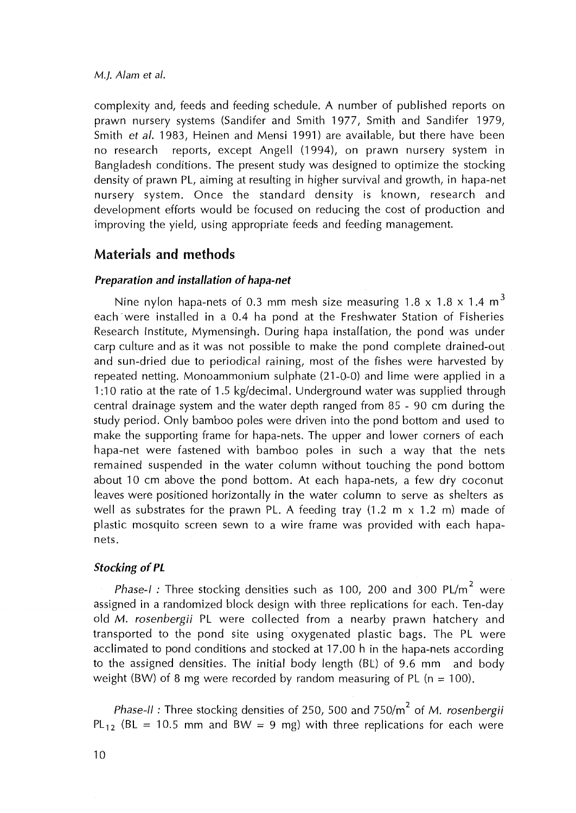#### *M.J. Alam et al.*

complexity and, feeds and feeding schedule. A number of published reports on prawn nursery systems (Sandifer and Smith 1977, Smith and Sandifer 1979, Smith *et al.* 1983, Heinen and Mensi 1991) are available, but there have been no research reports, except Angell (1994), on prawn nursery system in Bangladesh conditions. The present study was designed to optimize the stocking density of prawn PL, aiming at resulting in higher survival and growth, in hapa-net nursery system. Once the standard density is known, research and development efforts would be focused on reducing the cost of production and improving the yield, using appropriate feeds and feeding management.

# Materials and methods

### Preparation and installation of hapa-net

Nine nylon hapa-nets of 0.3 mm mesh size measuring 1.8 x 1.8 x 1.4  $\mathrm{m}^{3}$ each were installed in a 0.4 ha pond at the Freshwater Station of Fisheries Research Institute, Mymensingh. During hapa installation, the pond was under carp culture and as it was not possible to make the pond complete drained-out and sun-dried due to periodical raining, most of the fishes were harvested by repeated netting. Monoammonium sulphate (21-0-0) and lime were applied in a 1 :10 ratio at the rate of 1 .5 kg/decimal. Underground water was supplied through central drainage system and the water depth ranged from 85 - 90 em during the study period. Only bamboo poles were driven into the pond bottom and used to make the supporting frame for hapa-nets. The upper and lower corners of each hapa-net were fastened with bamboo poles in such a way that the nets remained suspended in the water column without touching the pond bottom about 10 cm above the pond bottom. At each hapa-nets, a few dry coconut leaves were positioned horizontally in the water column to serve as shelters as well as substrates for the prawn PL. A feeding tray  $(1.2 \text{ m} \times 1.2 \text{ m})$  made of plastic mosquito screen sewn to a wire frame was provided with each hapanets.

### Stocking of PL

*Phase-I :* Three stocking densities such as 100, 200 and 300 PL/m<sup>2</sup> were assigned in a randomized block design with three replications for each. Ten-day old *M. rosenbergii* PL were collected from a nearby prawn hatchery and transported to the pond site using· oxygenated plastic bags. The PL were acclimated to pond conditions and stocked at 17.00 h in the hapa-nets according to the assigned densities. The initial body length (BL) of 9.6 mm and body weight (BW) of 8 mg were recorded by random measuring of PL ( $n = 100$ ).

*Phase-II*: Three stocking densities of 250, 500 and 750/m<sup>2</sup> of *M. rosenbergii* PL<sub>12</sub> (BL = 10.5 mm and BW = 9 mg) with three replications for each were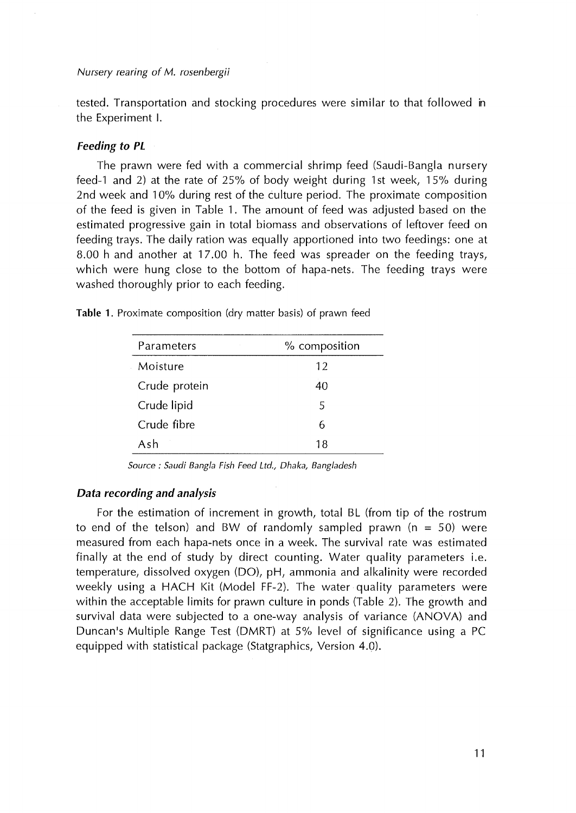Nursery rearing of M. rosenbergii

tested. Transportation and stocking procedures were similar to that followed in the Experiment I.

#### *Feeding to PL*

The prawn were fed with a commercial shrimp feed (Saudi-Bangla nursery feed-1 and 2) at the rate of 25% of body weight during 1st week, 15% during 2nd week and 10% during rest of the culture period. The proximate composition of the feed is given in Table 1. The amount of feed was adjusted based on the estimated progressive gain in total biomass and observations of leftover feed on feeding trays. The daily ration was equally apportioned into two feedings: one at 8.00 h and another at 17.00 h. The feed was spreader on the feeding trays, which were hung close to the bottom of hapa-nets. The feeding trays were washed thoroughly prior to each feeding.

Table 1. Proximate composition (dry matter basis) of prawn feed

| Parameters    | % composition |  |  |
|---------------|---------------|--|--|
| Moisture      | 12            |  |  |
| Crude protein | 40            |  |  |
| Crude lipid   | 5             |  |  |
| Crude fibre   | 6             |  |  |
| Ash           | 18            |  |  |

*Source : Saudi Bangia Fish Feed Ltd., Dhaka, Bangladesh* 

#### *Data recording and analysis*

For the estimation of increment in growth, total BL (from tip of the rostrum to end of the telson) and BW of randomly sampled prawn ( $n = 50$ ) were measured from each hapa-nets once in a week. The survival rate was estimated finally at the end of study by direct counting. Water quality parameters i.e. temperature, dissolved oxygen (DO), pH, ammonia and alkalinity were recorded weekly using a HACH Kit (Model FF-2). The water quality parameters were within the acceptable limits for prawn culture in ponds (Table 2). The growth and survival data were subjected to a one-way analysis of variance (ANOVA) and Duncan's Multiple Range Test (DMRT) at 5% level of significance using a PC equipped with statistical package (Statgraphics, Version 4.0).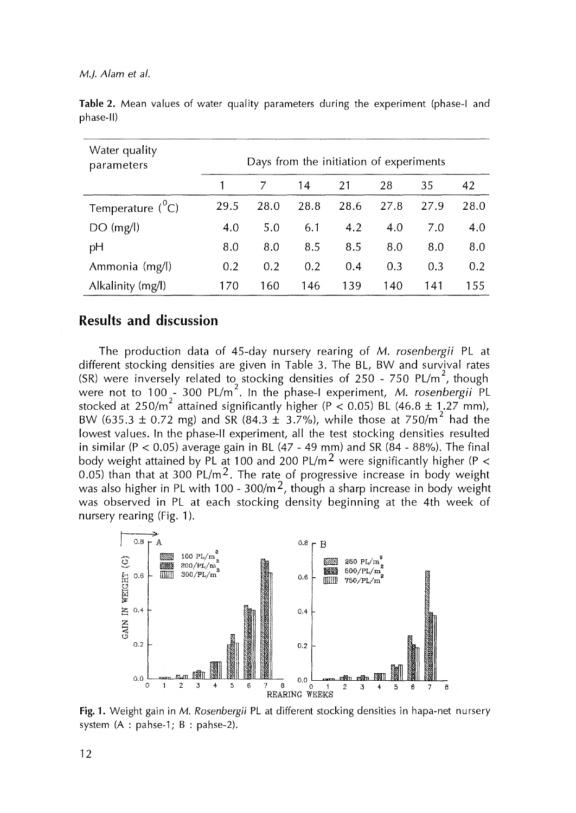#### *M.J. Alam et al.*

| Water quality<br>parameters | Days from the initiation of experiments |      |      |      |      |      |      |
|-----------------------------|-----------------------------------------|------|------|------|------|------|------|
|                             |                                         |      | 14   | 21   | 28   | 35   | 42   |
| Temperature $(^0C)$         | 29.5                                    | 28.0 | 28.8 | 28.6 | 27.8 | 27.9 | 28.0 |
| DO(mg/l)                    | 4.0                                     | 5.0  | 6.1  | 4.2  | 4.0  | 7.0  | 4.0  |
| pH                          | 8.0                                     | 8.0  | 8.5  | 8.5  | 8.0  | 8.0  | 8.0  |
| Ammonia (mg/l)              | 0.2                                     | 0.2  | 0.2  | 0.4  | 0.3  | 0.3  | 0.2  |
| Alkalinity (mg/l)           | 170                                     | 160  | 146  | 139  | 140  | 141  | 155  |

Table 2. Mean values of water quality parameters during the experiment (phase-I and phase-II)

## Results and discussion

The production data of 45-day nursery rearing of *M. rosenbergii* PL at different stocking densities are given in Table 3. The BL, BW and survival rates (SR) were inversely related to stocking densities of 250 - 750 PL/m<sup>2</sup>, though were not to 100<sub>2</sub>-300 PL/m<sup>2</sup>. In the phase-I experiment, *M. rosenbergii* PL stocked at  $250/m^2$  attained significantly higher (P < 0.05) BL (46.8 ± 1.27 mm), BW (635.3  $\pm$  0.72 mg) and SR (84.3  $\pm$  3.7%), while those at 750/m<sup>2</sup> had the lowest values. In the phase-11 experiment, all the test stocking densities resulted in similar (P < 0.05) average gain in BL (47 - 49 mm) and SR (84 - 88%). The final body weight attained by PL at 100 and 200 PL/m<sup>2</sup> were significantly higher (P < 0.05) than that at 300 PL/m<sup>2</sup>. The rate of progressive increase in body weight was also higher in PL with 100 - 300/m<sup>2</sup>, though a sharp increase in body weight was observed in PL at each stocking density beginning at the 4th week of nursery rearing (Fig. 1).



Fig. **1.** Weight gain in *M. Rosenbergii* PL at different stocking densities in hapa-net nursery system (A : pahse-1; B : pahse-2).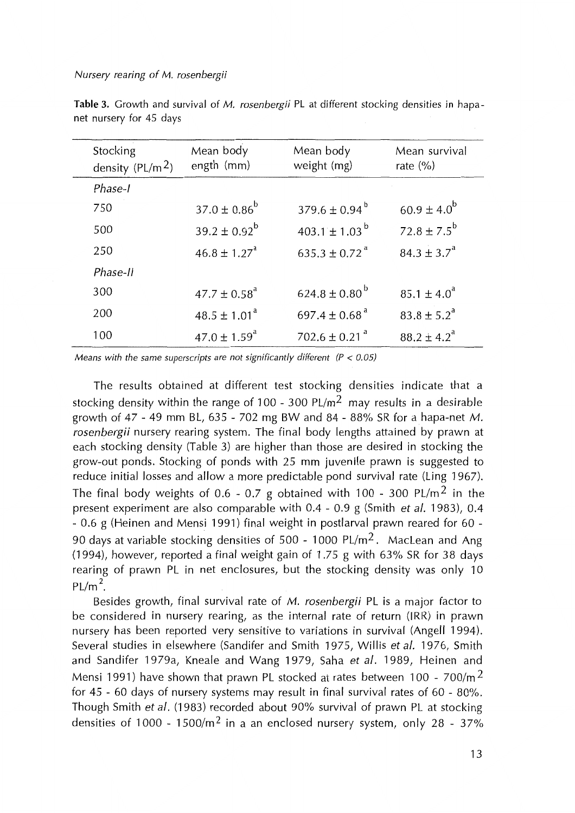#### Nursery rearing of M. rosenbergii

| Stocking<br>density $(PL/m2)$ | Mean body<br>ength (mm)      | Mean body<br>weight (mg)      | Mean survival<br>rate $(\% )$ |
|-------------------------------|------------------------------|-------------------------------|-------------------------------|
| Phase-I                       |                              |                               |                               |
| 750                           | $37.0 \pm 0.86^b$            | $379.6 \pm 0.94^{\mathrm{b}}$ | $60.9 \pm 4.0^{b}$            |
| 500                           | $39.2 \pm 0.92^{\rm b}$      | 403.1 ± 1.03 <sup>b</sup>     | $72.8 \pm 7.5^{b}$            |
| 250                           | $46.8 \pm 1.27$ <sup>a</sup> | $635.3 \pm 0.72$ <sup>a</sup> | $84.3 \pm 3.7^{\circ}$        |
| Phase-II                      |                              |                               |                               |
| 300                           | $47.7 \pm 0.58$ <sup>a</sup> | $624.8 \pm 0.80^{\mathrm{b}}$ | $85.1 \pm 4.0^{\circ}$        |
| 200                           | $48.5 \pm 1.01^a$            | 697.4 $\pm$ 0.68 <sup>a</sup> | $83.8 \pm 5.2^{\circ}$        |
| 100                           | $47.0 \pm 1.59$ <sup>a</sup> | $702.6 \pm 0.21$ <sup>a</sup> | $88.2 \pm 4.2^{\circ}$        |

**Table** 3. Growth and survival of M. rosenbergii PL at different stocking densities in hapanet nursery for 45 days

Means with the same superscripts are not significantly different  $(P < 0.05)$ 

The results obtained at different test stocking densities indicate that a stocking density within the range of 100 - 300 PL/m<sup>2</sup> may results in a desirable growth of 47 - 49 mm BL, 635 - 702 mg BW and 84 - 88% SR for a hapa-net M. *rosenbergii* nursery rearing system. The final body lengths attained by prawn at each stocking density (Table 3) are higher than those are desired in stocking the grow-out ponds. Stocking of ponds with 25 mm juvenile prawn is suggested to reduce initial losses and allow a more predictable pond survival rate (Ling 1967). The final body weights of 0.6 - 0.7 g obtained with 100 - 300 PL/m<sup>2</sup> in the present experiment are also comparable with 0.4 - 0.9 g (Smith *et al.* 1983), 0.4 - 0.6 g (Heinen and Mensi 1991) final weight in postlarval prawn reared for 60 - 90 days at variable stocking densities of 500 - 1000 PL/m<sup>2</sup>. MacLean and Ang (1994), however, reported a final weight gain of 1.75 g with 63% SR for 38 days rearing of prawn PL in net enclosures, but the stocking density was only 10  $PL/m<sup>2</sup>$ .

Besides growth, final survival rate of *M. rosenbergii* PL is a major factor to be considered in nursery rearing, as the internal rate of return (IRR) in prawn nursery has been reported very sensitive to variations in survival (Angell 1994). Several studies in elsewhere (Sandifer and Smith 1975, Willis *et al.* 1976, Smith and Sandifer 1979a, Kneale and Wang 1979, Saha et al. 1989, Heinen and Mensi 1991) have shown that prawn PL stocked at rates between 100 - 700/m<sup>2</sup> for 45 - 60 days of nursery systems may result in final survival rates of 60 - 80%. Though Smith *eta/.* (1983) recorded about 90% survival of prawn PL at stocking densities of 1000 - 1500/m<sup>2</sup> in a an enclosed nursery system, only 28 - 37%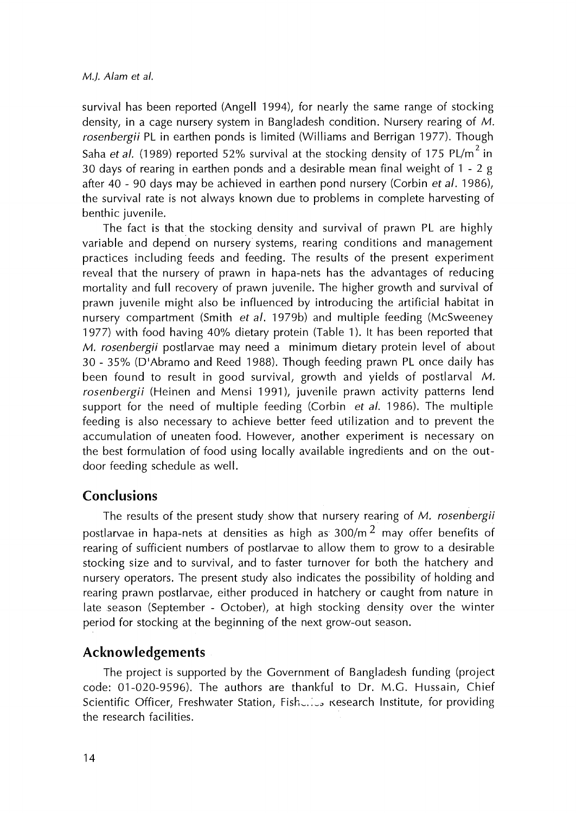#### *M.}. A/am et a/.*

survival has been reported (Angell 1994), for nearly the same range of stocking density, in a cage nursery system in Bangladesh condition. Nursery rearing of M. *rosenbergii* PL in earthen ponds is limited (Williams and Berrigan 1977). Though Saha *et al.* (1989) reported 52% survival at the stocking density of 175 PL/m<sup>2</sup> in 30 days of rearing in earthen ponds and a desirable mean final weight of 1 - 2 g after 40 - 90 days may be achieved in earthen pond nursery (Corbin *et al.* 1986), the survival rate is not always known due to problems in complete harvesting of benthic juvenile.

The fact is that the stocking density and survival of prawn PL are highly variable and depend on nursery systems, rearing conditions and management practices including feeds and feeding. The results of the present experiment reveal that the nursery of prawn in hapa-nets has the advantages of reducing mortality and full recovery of prawn juvenile. The higher growth and survival of prawn juvenile might also be influenced by introducing the artificial habitat in nursery compartment (Smith *et al.* 1979b) and multiple feeding (McSweeney 1977) with food having 40% dietary protein (Table 1). It has been reported that *M. rosenbergii* postlarvae may need a minimum dietary protein level of about 30 - 35% (D'Abramo and Reed 1988). Though feeding prawn PL once daily has been found to result in good survival, growth and yields of postlarval M. rosenbergii (Heinen and Mensi 1991), juvenile prawn activity patterns lend support for the need of multiple feeding (Corbin *et a/.* 1986). The multiple feeding is also necessary to achieve better feed utilization and to prevent the accumulation of uneaten food. However, another experiment is necessary on the best formulation of food using locally available ingredients and on the outdoor feeding schedule as well.

# Conclusions

The results of the present study show that nursery rearing of *M. rosenbergii*  postlarvae in hapa-nets at densities as high as  $300/m<sup>2</sup>$  may offer benefits of rearing of sufficient numbers of postlarvae to allow them to grow to a desirable stocking size and to survival, and to faster turnover for both the hatchery and nursery operators. The present study also indicates the possibility of holding and rearing prawn postlarvae, either produced in hatchery or caught from nature in late season (September - October), at high stocking density over the winter period for stocking at the beginning of the next grow-out season.

# **Acknowledgements**

The project is supported by the Government of Bangladesh funding (project code: 01-020-9596). The authors are thankful to Dr. M.G. Hussain, Chief Scientific Officer, Freshwater Station, Fisherius Research Institute, for providing the research facilities.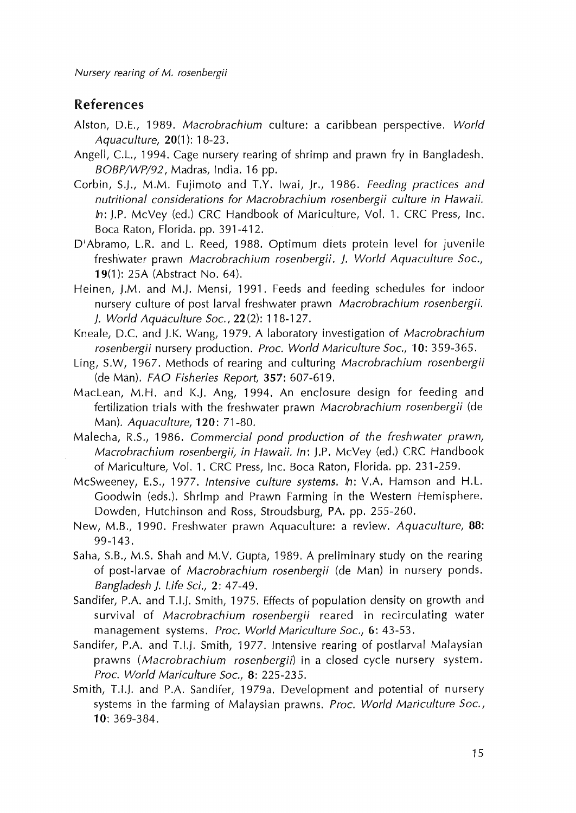Nursery rearing of M. rosenbergii

## References

- Alston, D.E., 1989. *Macrobrachium* culture: a caribbean perspective. *World Aquaculture,* 20(1 ): 18-23.
- Angell, C.L., 1994. Cage nursery rearing of shrimp and prawn fry in Bangladesh. *BOBP/WP/92,* Madras, India. 16 pp.
- Corbin, S.J., M.M. Fujimoto and T.Y. lwai, Jr., 1986. *Feeding practices and nutritional considerations for Macrobrachium rosenbergii culture in Hawaii. In:* J.P. McVey (ed.) CRC Handbook of Mariculture, Vol. 1. CRC Press, Inc. Boca Raton, Florida. pp. 391-412.
- D'Abramo, L.R. and L. Reed, 1988. Optimum diets protein level for juvenile freshwater prawn *Macrobrachium rosenbergii. }. World Aquaculture Soc.,*  **19**(1): 25A (Abstract No. 64).
- Heinen, J.M. and M.J. Mensi, 1991. Feeds and feeding schedules for indoor nursery culture of post larval freshwater prawn *Macrobrachium rosenbergii. }. World Aquaculture Soc.,* 22 (2): 118-127.
- Kneale, D.C. and J.K. Wang, 1979. A laboratory investigation of *Macrobrachium rosenbergii* nursery production. *Proc. World Mariculture Soc.,* 10: 359-365.
- Ling, S.W, 1967. Methods of rearing and culturing *Macrobrachium rosenbergii*  (de Man). *FAO Fisheries Report,* 357: 607~619.
- Maclean, M.H. and K.J. Ang, 1994. An enclosure design for feeding and fertilization trials with the freshwater prawn *Macrobrachium rosenbergii* (de Man). *Aquaculture,* 120: 71-80.
- Malecha, R.S., 1986. *Commercial pond production of the freshwater prawn, Macrobrachium rosenbergii, in Hawaii. In:* J.P. McVey (ed.) CRC Handbook of Mariculture, Vol. 1. CRC Press, Inc. Boca Raton, Florida. pp. 231-259.
- McSweeney, E.S., 1977. *Intensive culture systems. In:* V.A. Hamson and H.L. Goodwin (eds.). Shrimp and Prawn Farming in the Western Hemisphere. Dowden, Hutchinson and Ross, Stroudsburg, PA. pp. 255-260.
- New, M.B., 1990. Freshwater prawn Aquaculture: a review. *Aquaculture,* 88: 99-143.
- Saha, S.B., M.S. Shah and M.V. Gupta, 1989. A preliminary study on the rearing of post~larvae of *Macrobrachium rosenbergii* (de Man) in nursery ponds. *Bangladesh). Life Sci.,* 2: 47-49.
- Sandifer, P.A. and T.I.J. Smith, 1975. Effects of population density on growth and survival of *Macrobrachium rosenbergii* reared in recirculating water management systems. *Proc. World Mariculture Soc.,* 6: 43-53.
- Sandifer, P.A. and T.I.J. Smith, 1977. Intensive rearing of postlarval Malaysian prawns *(Macrobrachium rosenbergii)* in a closed cycle nursery system. *Proc. World Mariculture Soc.,* 8: 225~235.
- Smith, T.I.J. and P.A. Sandifer, 1979a. Development and potential of nursery systems in the farming of Malaysian prawns. *Proc. World Mariculture Soc.,*  10: 369-384.